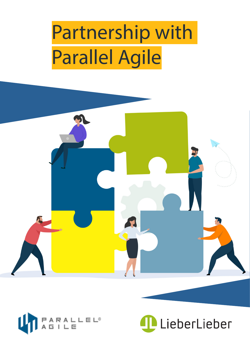# Partnership with Parallel Agile





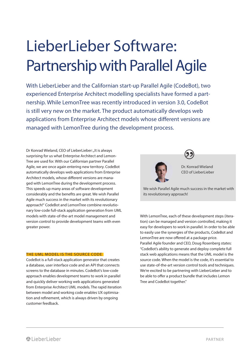# LieberLieber Software: Partnership with Parallel Agile

With LieberLieber and the Californian start-up Parallel Agile (CodeBot), two experienced Enterprise Architect modelling specialists have formed a partnership. While LemonTree was recently introduced in version 3.0, CodeBot is still very new on the market. The product automatically develops web applications from Enterprise Architect models whose different versions are managed with LemonTree during the development process.

Dr Konrad Wieland, CEO of LieberLieber: "It is always surprising for us what Enterprise Architect and Lemon-Tree are used for. With our Californian partner Parallel Agile, we are once again entering new territory. CodeBot automatically develops web applications from Enterprise Architect models, whose different versions are managed with LemonTree during the development process. This speeds up many areas of software development considerably and the benefits are great. We wish Parallel Agile much success in the market with its revolutionary approach!" CodeBot and LemonTree combine revolutionary low-code full-stack application generation from UML models with state-of-the-art model management and version control to provide development teams with even greater power.

#### THE UML MODEL IS THE SOURCE CODE

CodeBot is a full-stack application generator that creates a database, user interface code and an API that connects screens to the database in minutes. CodeBot's low-code approach enables development teams to work in parallel and quickly deliver working web applications generated from Enterprise Architect UML models. The rapid iteration between model and working code enables UX optimisation and refinement, which is always driven by ongoing customer feedback.



Dr. Konrad Wieland CEO of LieberLieber

We wish Parallel Agile much success in the market with its revolutionary approach!

With LemonTree, each of these development steps (iteration) can be managed and version controlled, making it easy for developers to work in parallel. In order to be able to easily use the synergies of the products, CodeBot and LemonTree are now offered at a package price. Parallel Agile founder and CEO, Doug Rosenberg states: "CodeBot's ability to generate and deploy complete full stack web applications means that the UML model is the source code. When the model is the code, it's essential to use state-of-the-art version control tools and techniques. We're excited to be partnering with LieberLieber and to be able to offer a product bundle that includes Lemon Tree and CodeBot together."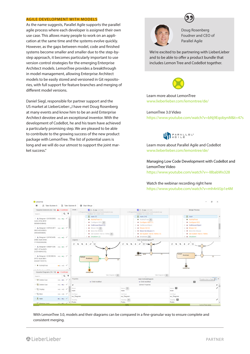#### AGILE DEVELOPMENT WITH MODELS

As the name suggests, Parallel Agile supports the parallel agile process where each developer is assigned their own use case. This allows many people to work on an application at the same time and the systems evolve quickly. However, as the gaps between model, code and finished systems become smaller and smaller due to the step-bystep approach, it becomes particularly important to use version control strategies for the emerging Enterprise Architect models. LemonTree provides a breakthrough in model management, allowing Enterprise Architect models to be easily stored and versioned in Git repositories, with full support for feature branches and merging of different model versions.

Daniel Siegl, responsible for partner support and the US market at LieberLieber: "I have met Doug Rosenberg at many events and know him to be an avid Enterprise Architect devotee and an exceptional inventor. With the development of CodeBot, he and his team have achieved a particularly promising step. We are pleased to be able to contribute to the growing success of the new product package with LemonTree. The list of potential users is long and we will do our utmost to support the joint market success."





Doug Rosenberg Foudner and CEO of Parallel Agile

We're excited to be partnering with LieberLieber and to be able to offer a product bundle that includes Lemon Tree and CodeBot together.



Learn more about LemonTree www.lieberlieber.com/lemontree/de/

#### LemonTree 3.0 Video

https://www.youtube.com/watch?v=bNj9EqobynM&t=47s



Learn more about Parallel Agile and CodeBot www.lieberlieber.com/lemontree/de/

Managing Low Code Development with CodeBot and LemonTree Video https://www.youtube.com/watch?v=-I8babWx328

### Watch the webinar recording right here

https://www.youtube.com/watch?v=mh4nVJp1e4M



With LemonTree 3.0, models and their diagrams can be compared in a fine-granular way to ensure complete and consistent merging.